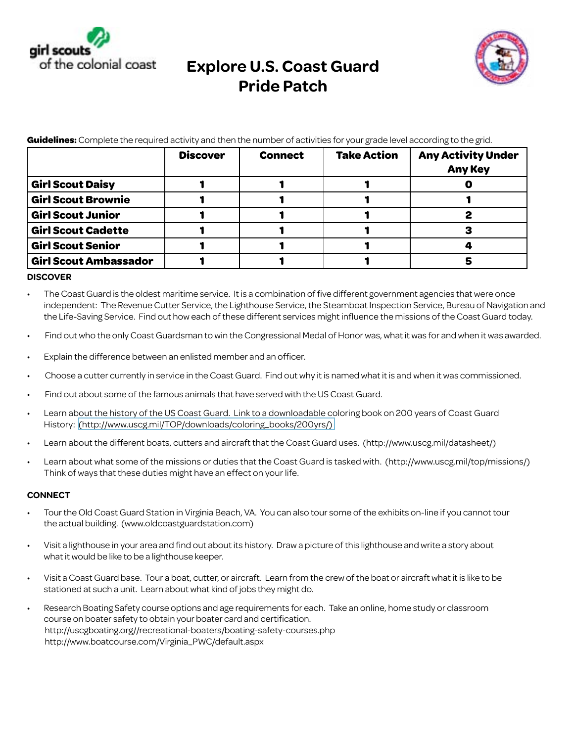

## **Explore U.S. Coast Guard Pride Patch**



**Guidelines:** Complete the required activity and then the number of activities for your grade level according to the grid.

|                              | <b>Discover</b> | <b>Connect</b> | <b>Take Action</b> | <b>Any Activity Under</b><br><b>Any Key</b> |
|------------------------------|-----------------|----------------|--------------------|---------------------------------------------|
| <b>Girl Scout Daisy</b>      |                 |                |                    |                                             |
| <b>Girl Scout Brownie</b>    |                 |                |                    |                                             |
| <b>Girl Scout Junior</b>     |                 |                |                    |                                             |
| <b>Girl Scout Cadette</b>    |                 |                |                    |                                             |
| <b>Girl Scout Senior</b>     |                 |                |                    |                                             |
| <b>Girl Scout Ambassador</b> |                 |                |                    |                                             |

## **DISCOVER**

- The Coast Guard is the oldest maritime service. It is a combination of five different government agencies that were once [independent: The Revenue Cutter Service, the Lighthouse Service, the Steamboat Inspection Service, Bureau of Navigation and](http://www.boatcourse.com/Virginia_PWC/default.aspx)  the Life-Saving Service. Find out how each of these different services might influence the missions of the Coast Guard today.
- Find out who the only Coast Guardsman to win the Congressional Medal of Honor was, what it was for and when it was awarded.
- • Explain the difference between an enlisted member and an officer.
- Choose a cutter currently in service in the Coast Guard. Find out why it is named what it is and when it was commissioned.
- Find out about some of the famous animals that have served with the US Coast Guard.
- Learn about the history of the US Coast Guard. Link to a downloadable coloring book on 200 years of Coast Guard History: [\(http://www.uscg.mil/TOP/downloads/coloring\\_books/200yrs/\)]((http://www.uscg.mil/TOP/downloads/coloring_books/200yrs/))
- Learn about the different boats, cutters and aircraft that the Coast Guard uses. ([http://www.uscg.mil/datasheet/](http://www.uscg.mil/datasheet))
- Learn about what some of the missions or duties that the Coast Guard is tasked with. ([http://www.uscg.mil/top/missions/](http://www.uscg.mil/top/missions)) Think of ways that these duties might have an effect on your life.

## **CONNECT**

- Tour the Old Coast Guard Station in Virginia Beach, VA. You can also tour some of the exhibits on-line if you cannot tour the actual building. (<www.oldcoastguardstation.com>)
- • Visit a lighthouse in your area and find out about its history. Draw a picture of this lighthouse and write a story about what it would be like to be a lighthouse keeper.
- • Visit a Coast Guard base. Tour a boat, cutter, or aircraft. Learn from the crew of the boat or aircraft what it is like to be stationed at such a unit. Learn about what kind of jobs they might do.
- • Research Boating Safety course options and age requirements for each. Take an online, home study or classroom course on boater safety to obtain your boater card and certification. <http://uscgboating.org>//recreational-boaters/<boating-safety-courses.php> [http://www.boatcourse.com/Virginia\\_PWC/default.aspx](http://www.boatcourse.com/Virginia_PWC/default.aspx)